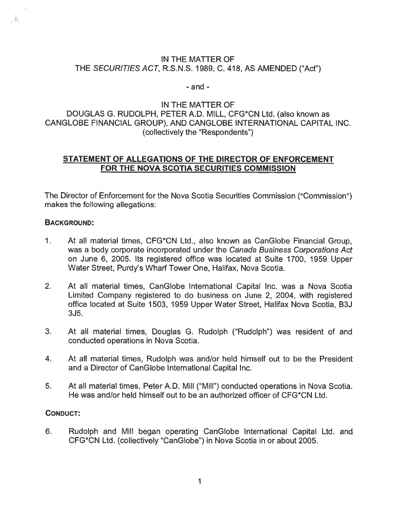### IN THE MATTER OF THE SECURITIES ACT, R.S.N.S. 1989, C. 418, AS AMENDED ("Act")

#### - and -

## IN THE MATTER OF

# DOUGLAS C. RUDOLPH, PETER A.D. MILL, CFG\*CN Ltd. (also known as CANGLOBE FINANCIAL GROUP), AND CANGLOBE INTERNATIONAL CAPITAL INC. (collectively the "Respondents")

# STATEMENT OF ALLEGATIONS OF THE DIRECTOR OF ENFORCEMENT FOR THE NOVA SCOTIA SECURITIES COMMISSION

The Director of Enforcement for the Nova Scotia Securities Commission ("Commission") makes the following allegations:

### BACKGROUND:

 $\mathbb{A}_n$ 

- 1. At all material times, CFG\*CN Ltd., also known as CanGlobe Financial Group, was <sup>a</sup> body corporate incorporated under the Canada Business Corporations Act on June 6, 2005. Its registered office was located at Suite 1700, 1959 Upper Water Street, Purdy's Wharf Tower One, Halifax, Nova Scotia.
- 2. At all material times, CanGlobe International Capital Inc. was <sup>a</sup> Nova Scotia Limited Company registered to do business on June 2, 2004, with registered office located at Suite 1503, 1959 Upper Water Street, Halifax Nova Scotia, B3J  $3J<sub>5</sub>$ .
- 3. At all material times, Douglas G. Rudolph ("Rudolph") was resident of and conducted operations in Nova Scotia.
- 4. At all material times, Rudolph was and/or held himself out to be the President and <sup>a</sup> Director of CanGlobe International Capital Inc.
- 5. At all material times, Peter A.D. Mill ("Mill") conducted operations in Nova Scotia. He was and/or held himself out to be an authorized officer of CFG\*CN Ltd.

#### CONDUCT:

6. Rudolph and Mill began operating CanGlobe International Capital Ltd. and CFG\*CN Ltd. (collectively "CanGlobe") in Nova Scotia in or about 2005.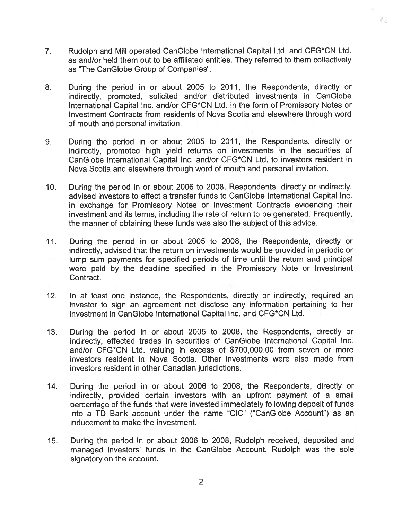7. Rudolph and Mill operated CanGlobe International Capital Ltd. and CFG\*CN Ltd. as and/or held them out to be affiliated entities. They referred to them collectively as "The CanGlobe Group of Companies".

रेड

- 8. During the period in or about 2005 to 2011, the Respondents, directly or indirectly, promoted, solicited and/or distributed investments in CanGlobe International Capital Inc. and/or CFG\*CN Ltd. in the form of Promissory Notes or Investment Contracts from residents of Nova Scotia and elsewhere through word of mouth and personal invitation.
- 9. During the period in or about 2005 to 2011, the Respondents, directly or indirectly, promoted high yield returns on investments in the securities of CanGlobe International Capital Inc. and/or CFG\*CN Ltd. to investors resident in Nova Scotia and elsewhere through word of mouth and personal invitation.
- 10. During the period in or about 2006 to 2008, Respondents, directly or indirectly, advised investors to effect <sup>a</sup> transfer funds to CanGlobe International Capital Inc. in exchange for Promissory Notes or Investment Contracts evidencing their investment and its terms, including the rate of return to be generated. Frequently, the manner of obtaining these funds was also the subject of this advice.
- 11. During the period in or about 2005 to 2008, the Respondents, directly or indirectly, advised that the return on investments would be provided in periodic or lump sum payments for specified periods of time until the return and principal were paid by the deadline specified in the Promissory Note or Investment Contract.
- 12. In at least one instance, the Respondents, directly or indirectly, required an investor to sign an agreemen<sup>t</sup> not disclose any information pertaining to her investment in CanGlobe International Capital Inc. and CFG\*CN Ltd.
- 13. During the period in or about 2005 to 2008, the Respondents, directly or indirectly, effected trades in securities of CanGlobe International Capital Inc. and/or CFG\*CN Ltd. valuing in excess of \$700,000.00 from seven or more investors resident in Nova Scotia. Other investments were also made from investors resident in other Canadian jurisdictions.
- 14. During the period in or about 2006 to 2008, the Respondents, directly or indirectly, provided certain investors with an upfront paymen<sup>t</sup> of <sup>a</sup> small percentage of the funds that were invested immediately following deposit of funds into <sup>a</sup> TD Bank account under the name "CIC" ("CanGlobe Account") as an inducement to make the investment.
- 15. During the period in or about 2006 to 2008, Rudolph received, deposited and managed investors' funds in the CanGlobe Account. Rudolph was the sole signatory on the account.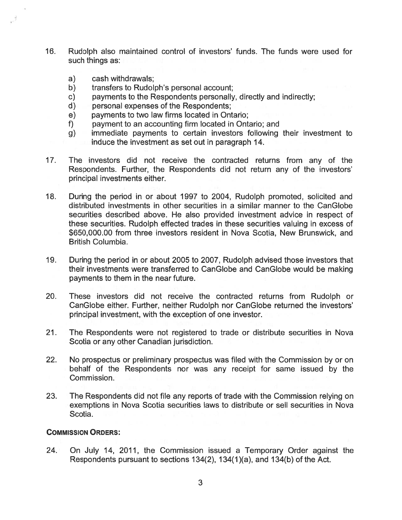- 16. Rudolph also maintained control of investors' funds. The funds were used for such things as:
	- a) cash withdrawals;
	- b) transfers to Rudolph's personal account;
	- c) payments to the Respondents personally, directly and indirectly;<br>d) personal expenses of the Respondents:
	- personal expenses of the Respondents;
	- e) payments to two law firms located in Ontario;
	- f) paymen<sup>t</sup> to an accounting firm located in Ontario; and
	- g) immediate payments to certain investors following their investment to induce the investment as set out in paragraph 14.
- 17. The investors did not receive the contracted returns from any of the Respondents. Further, the Respondents did not return any of the investors' principal investments either.
- 18. During the period in or about 1997 to 2004, Rudolph promoted, solicited and distributed investments in other securities in <sup>a</sup> similar manner to the CanGlobe securities described above. He also provided investment advice in respec<sup>t</sup> of these securities. Rudolph effected trades in these securities valuing in excess of \$650,000.00 from three investors resident in Nova Scotia, New Brunswick, and British Columbia.
- 19. During the period in or about 2005 to 2007, Rudolph advised those investors that their investments were transferred to CanGlobe and CanGlobe would be making payments to them in the near future.
- 20. These investors did not receive the contracted returns from Rudolph or CanGlobe either. Further, neither Rudolph nor CanGlobe returned the investors' principal investment, with the exception of one investor.
- 21. The Respondents were not registered to trade or distribute securities in Nova Scotia or any other Canadian jurisdiction.
- 22. No prospectus or preliminary prospectus was filed with the Commission by or on behalf of the Respondents nor was any receipt for same issued by the Commission.
- 23. The Respondents did not file any reports of trade with the Commission relying on exemptions in Nova Scotia securities laws to distribute or sell securities in Nova Scotia.

### COMMISSION ORDERS:

24. On July 14, 2011, the Commission issued <sup>a</sup> Temporary Order against the Respondents pursuan<sup>t</sup> to sections 134(2), 134(1 )(a), and 134(b) of the Act.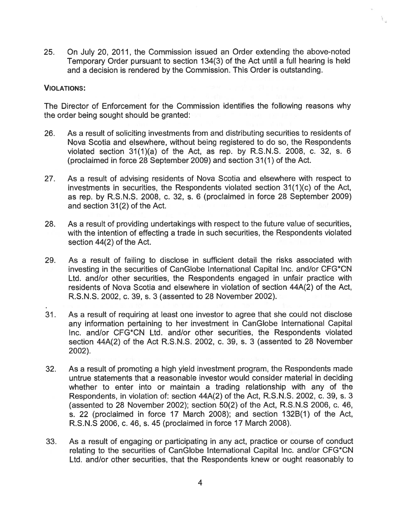25. On July 20, 2011, the Commission issued an Order extending the above-noted Temporary Order pursuan<sup>t</sup> to section 134(3) of the Act until <sup>a</sup> full hearing is held and <sup>a</sup> decision is rendered by the Commission. This Order is outstanding.

 $\mathfrak{i}_+$ 

### VIOLATIONS:

The Director of Enforcement for the Commission identifies the following reasons why the order being sought should be granted:

- 26. As <sup>a</sup> result of soliciting investments from and distributing securities to residents of Nova Scotia and elsewhere, without being registered to do so, the Respondents violated section 31(1)(a) of the Act, as rep. by R.S.N.S. 2008, c. 32, s. 6 (proclaimed in force 28 September 2009) and section 31(1) of the Act.
- 27. As <sup>a</sup> result of advising residents of Nova Scotia and elsewhere with respec<sup>t</sup> to investments in securities, the Respondents violated section 31(1)(c) of the Act, as rep. by R.S.N.S. 2008, c. 32, s. <sup>6</sup> (proclaimed in force 28 September 2009) and section 31(2) of the Act.
- 28. As <sup>a</sup> result of providing undertakings with respec<sup>t</sup> to the future value of securities, with the intention of effecting <sup>a</sup> trade in such securities, the Respondents violated section 44(2) of the Act.
- 29. As <sup>a</sup> result of failing to disclose in sufficient detail the risks associated with investing in the securities of CanGlobe International Capital Inc. and/or CFG\*CN Ltd. and/or other securities, the Respondents engaged in unfair practice with residents of Nova Scotia and elsewhere in violation of section 44A(2) of the Act, R.S.N.S. 2002, c. 39, s. 3 (assented to 28 November 2002).
- 31. As <sup>a</sup> result of requiring at least one investor to agree that she could not disclose any information pertaining to her investment in CanGlobe International Capital Inc. and/or CFG\*CN Ltd. and/or other securities, the Respondents violated section 44A(2) of the Act R.S.N.S. 2002, c. 39, s. 3 (assented to 28 November 2002).
- 32. As <sup>a</sup> result of promoting <sup>a</sup> high yield investment program, the Respondents made untrue statements that <sup>a</sup> reasonable investor would consider material in deciding whether to enter into or maintain <sup>a</sup> trading relationship with any of the Respondents, in violation of: section 44A(2) of the Act, R.S.N.S. 2002, c. 39, s. 3 (assented to 28 November 2002); section 50(2) of the Act, R.S.N.S 2006, c. 46, s. 22 (proclaimed in force 17 March 2008); and section 132B(1) of the Act, R.S.N.S 2006, c. 46, s. 45 (proclaimed in force 17 March 2008).
- 33. As <sup>a</sup> result of engaging or participating in any act, practice or course of conduct relating to the securities of CanGlobe International Capital Inc. and/or CFG\*CN Ltd. and/or other securities, that the Respondents knew or ought reasonably to